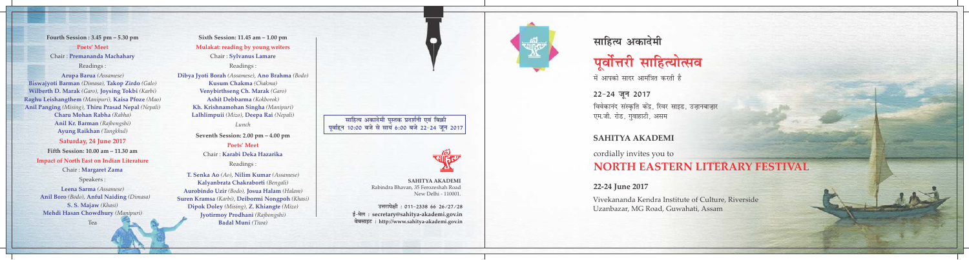**Fourth Session : 3.45 pm – 5.30 pm** Chair : **Premananda Machahary** Readings : **Poets' Meet** 

**Arupa Barua** *(Assamese)*  **Biswajyoti Barman Takop Zirdo** *(Dimasa), (Galo)* **Wilberth D. Marak Joysing Tokbi**  *(Garo), (Karbi)* **Raghu Leishangthem Kaisa Pfoze**  *(Manipuri), (Mao)* **Anil Panging Thiru Prasad Nepal**  *(Mising), (Nepali)* **Charu Mohan Rabha** *(Rabha)* **Anil Kr. Barman** *(Rajbongshi)* **Ayung Raikhan** *(Tangkhul)*

**Saturday, 24 June 2017 Impact of North East on Indian Literature Fifth Session: 10.00 am – 11.30 am**

Speakers :

Chair :  **Margaret Zama** 

<u> उत्तरापेक्षी</u>: 011-2338 66 26/27/28 **bZ&esy % secretary@sahitya-akademi.gov.in osclkbV % http://www.sahitya-akademi.gov.in**

## **साहित्य अकादेमी**

# पूर्वोत्तरी साहित्योत्सव

में आपको सादर आमंत्रित करती है

विवेकानंद संस्कृति केंद्र, रिवर साइड, उजानबाजार<br>' एम.जी. रोड, गुवाहाटी, असम 22-24 जून 2017

#### **SAHITYA AKADEMI**

cordially invites you to **NORTH EASTERN LITERARY FESTIVAL** 

#### , *(Nepali)* **lkfgR; vdknseh iqLrd izn'kZuh ,oa fcØh 14 एवंहिन 10:00 बजे से सायें 6:00 बजे 22-24 जून 2017**



Vivekananda Kendra Institute of Culture, Riverside Uzanbazar, MG Road, Guwahati, Assam

#### **22-24 June 2017**

**SAHITYA AKADEMI** Rabindra Bhavan, 35 Ferozeshah Road New Delhi - 110001.

**Sixth Session: 11.45 am – 1.00 pm** Chair : **Sylvanus Lamare** Readings : **Mulakat: reading by young writers** *Lunch* **Seventh Session: 2.00 pm – 4.00 pm** Chair : **Karabi Deka Hazarika** Readings : **Poets' Meet Dibya Jyoti Borah Ano Brahma**  *(Assamese)* , *(Bodo)* **Kusum Chakma**  *(Chakma)* **Venybirthseng Ch. Marak** *(Garo)* **Ashit Debbarma**  *(Kokborok)* **Kh. Krishnamohan Singha**  *(Manipuri)* **Lalhlimpuii Deepa Rai**  *(Mizo)*

**T. Senka Ao Nilim Kumar**  *(Ao)* , *(Assamese)* **Kalyanbrata Chakraborti**  *(Bengali)* **Aurobindo Uzir Josua Halam**  *(Bodo), (Halam)* **Suren Kramsa Deibormi Nongpoh**  *(Karbi)* , *(Khasi)*  **Dipok Doley** (Mising), **Z. Khiangte** (Mizo) **Jyotirmoy Prodhani**  *(Rajbongshi)* **Badal Muni** *(Tiwa)*

Tea

**Leena Sarma** *(Assamese)* **Anil Boro** *(Bodo),* **Anful Naiding** *(Dimasa)* **S. S. Majaw** *(Khasi)* **Mehdi Hasan Chowdhury** *(Manipuri)*